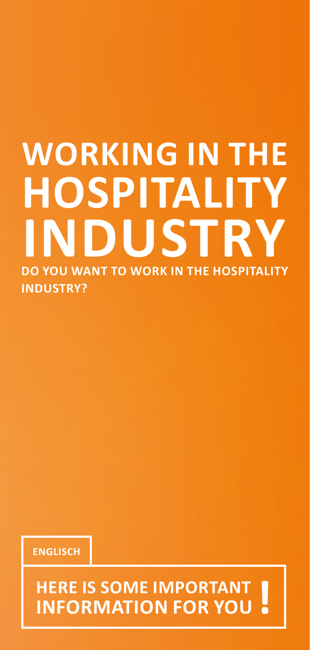# **WORKING IN THE HOSPITALITY INDUSTRY DO YOU WANT TO WORK IN THE HOSPITALITY INDUSTRY?**

**ENGLISCH**

**HERE IS SOME IMPORTANT INFORMATION FOR YOU !**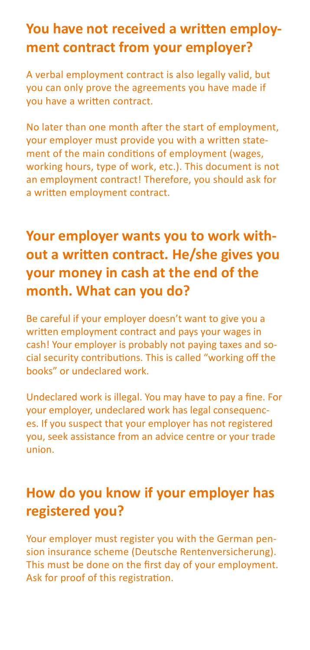### **You have not received a written employment contract from your employer?**

A verbal employment contract is also legally valid, but you can only prove the agreements you have made if you have a written contract.

No later than one month after the start of employment, your employer must provide you with a written statement of the main conditions of employment (wages, working hours, type of work, etc.). This document is not an employment contract! Therefore, you should ask for a written employment contract.

# **Your employer wants you to work without a written contract. He/she gives you your money in cash at the end of the month. What can you do?**

Be careful if your employer doesn't want to give you a written employment contract and pays your wages in cash! Your employer is probably not paying taxes and social security contributions. This is called "working off the books" or undeclared work.

Undeclared work is illegal. You may have to pay a fine. For your employer, undeclared work has legal consequences. If you suspect that your employer has not registered you, seek assistance from an advice centre or your trade union.

### **How do you know if your employer has registered you?**

Your employer must register you with the German pension insurance scheme (Deutsche Rentenversicherung). This must be done on the first day of your employment. Ask for proof of this registration.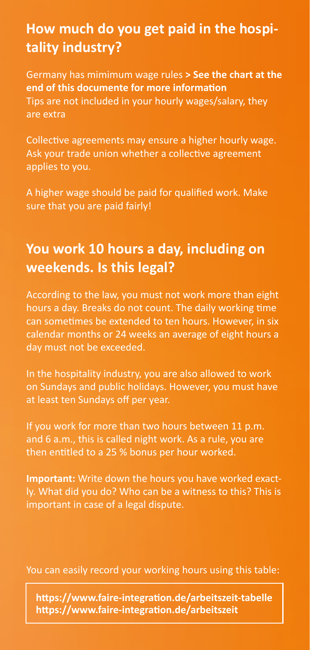### **How much do you get paid in the hospitality industry?**

Germany has mimimum wage rules **[> See the chart at the](#page-6-0)  [end of this documente for more information](#page-6-0)** Tips are not included in your hourly wages/salary, they are extra

Collective agreements may ensure a higher hourly wage. Ask your trade union whether a collective agreement applies to you.

A higher wage should be paid for qualified work. Make sure that you are paid fairly!

### **You work 10 hours a day, including on weekends. Is this legal?**

According to the law, you must not work more than eight hours a day. Breaks do not count. The daily working time can sometimes be extended to ten hours. However, in six calendar months or 24 weeks an average of eight hours a day must not be exceeded.

In the hospitality industry, you are also allowed to work on Sundays and public holidays. However, you must have at least ten Sundays off per year.

If you work for more than two hours between 11 p.m. and 6 a.m., this is called night work. As a rule, you are then entitled to a 25 % bonus per hour worked.

**Important:** Write down the hours you have worked exactly. What did you do? Who can be a witness to this? This is important in case of a legal dispute.

You can easily record your working hours using this table:

**[https://www.faire-integration.de/arbeitszeit-tabelle](https://www.faire-integration.de/arbeitszeit-tabelle
) <https://www.faire-integration.de/arbeitszeit>**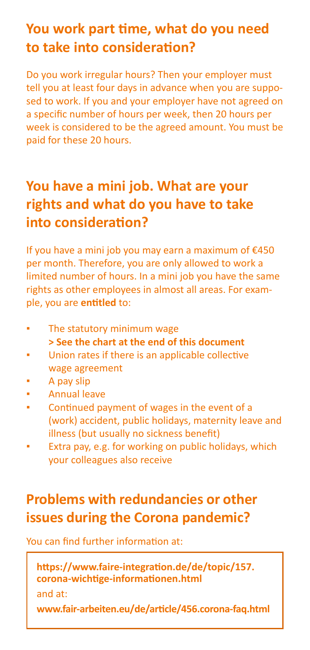### **You work part time, what do you need to take into consideration?**

Do you work irregular hours? Then your employer must tell you at least four days in advance when you are supposed to work. If you and your employer have not agreed on a specific number of hours per week, then 20 hours per week is considered to be the agreed amount. You must be paid for these 20 hours.

### **You have a mini job. What are your rights and what do you have to take into consideration?**

If you have a mini job you may earn a maximum of €450 per month. Therefore, you are only allowed to work a limited number of hours. In a mini job you have the same rights as other employees in almost all areas. For example, you are **entitled** to:

- The statutory minimum wage **[> See the chart at the end of this document](#page-6-0)**
- Union rates if there is an applicable collective wage agreement
- A pay slip
- **Annual leave**
- Continued payment of wages in the event of a (work) accident, public holidays, maternity leave and illness (but usually no sickness benefit)
- Extra pay, e.g. for working on public holidays, which your colleagues also receive

# **Problems with redundancies or other issues during the Corona pandemic?**

You can find further information at:

```
https://www.faire-integration.de/de/topic/157.
corona-wichtige-informationen.html 
and at:
```
**<www.fair-arbeiten.eu/de/article/456.corona-faq.html>**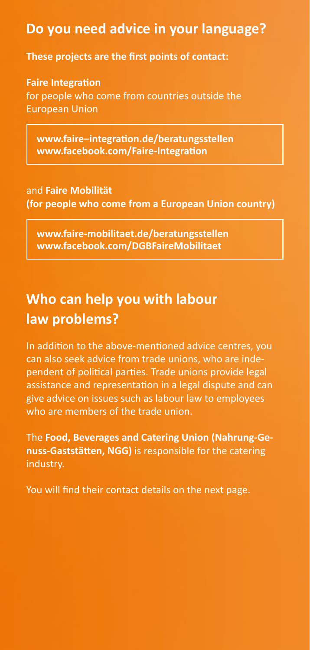### **Do you need advice in your language?**

**These projects are the first points of contact:**

**Faire Integration**  for people who come from countries outside the European Union

**[www.faire–integration.de/beratungsstellen](www.faire–integration.de/beratungsstellen  
)  <www.facebook.com/Faire-Integration>**

and **Faire Mobilität (for people who come from a European Union country)**

**[www.faire-mobilitaet.de/beratungsstellen](www.faire-mobilitaet.de/beratungsstellen 
)  <www.facebook.com/DGBFaireMobilitaet>**

### **Who can help you with labour law problems?**

In addition to the above-mentioned advice centres, you can also seek advice from trade unions, who are independent of political parties. Trade unions provide legal assistance and representation in a legal dispute and can give advice on issues such as labour law to employees who are members of the trade union.

The **Food, Beverages and Catering Union (Nahrung-Genuss-Gaststätten, NGG)** is responsible for the catering industry.

You will find their contact details on the next page.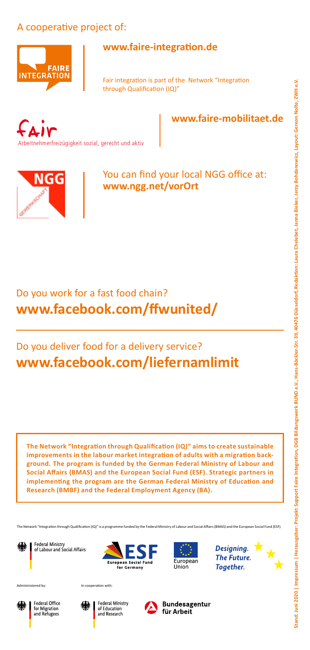# and: Juni 2020 | Impressum | Herausgeber: Projekt Support Faire Integration. DGB Bildungswerk BUND e.V., Hans-Böckler-Str. 39, 40476 Düsseldorf. Redaktion: Laura Chelebet, Jama Bieker. Jerzy Bohdanowicz. Layout: Gereon Nol Stand: Juni 2020 | Impressum | Herausgeber: Projekt Support Faire Integration. DGB Bildungswerk BUND e.V., Hans-Böckler-Str. 39, 40476 Düsseldorf. Redaktion: Laura Chelebet, Jama Bieker, Jerzy Bohdanowicz, Layout: Gereon N

### A cooperative project of:



### **<www.faire-integration.de>**

Fair integration is part of the Network "Integration through Qualification (IQ)"



**<www.faire-mobilitaet.de>**



You can find your local NGG office at: **<www.ngg.net/vorOrt>**

### Do you work for a fast food chain? **<www.facebook.com/ffwunited/>**

### Do you deliver food for a delivery service? **<www.facebook.com/liefernamlimit>**

**The Network "Integration through Qualification (IQ)" aims to create sustainable improvements in the labour market integration of adults with a migration background. The program is funded by the German Federal Ministry of Labour and Social Affairs (BMAS) and the European Social Fund (ESF). Strategic partners in implementing the program are the German Federal Ministry of Education and Research (BMBF) and the Federal Employment Agency (BA).**

The Network "Integration through Qualification (IQ)" is a programme funded by the Federal Ministry of Labour and Social Affairs (BMAS) and the European Social Fund (ESF).

Federal Ministry<br>of Labour and Social Affairs





Designing. **The Future.** Toaether.





Admininistered by: In cooperation with:



Federal Office for Migration<br>and Refugees



Federal Ministry of Education and Research



Bundesagentur für Arbeit